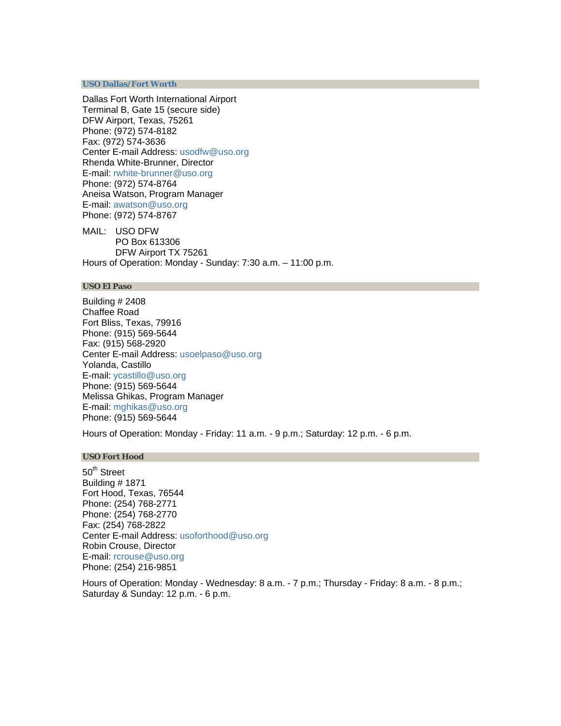#### **[USO Dallas/Fort Worth](http://www.uso.org/dfw)**

Dallas Fort Worth International Airport Terminal B, Gate 15 (secure side) DFW Airport, Texas, 75261 Phone: (972) 574-8182 Fax: (972) 574-3636 Center E-mail Address: [usodfw@uso.org](mailto:usodfw@uso.org) Rhenda White-Brunner, Director E-mail: [rwhite-brunner@uso.org](mailto:rwhite-brunner@uso.org) Phone: (972) 574-8764 Aneisa Watson, Program Manager E-mail: [awatson@uso.org](mailto:awatson@uso.org) Phone: (972) 574-8767

MAIL: USO DFW PO Box 613306 DFW Airport TX 75261 Hours of Operation: Monday - Sunday: 7:30 a.m. – 11:00 p.m.

#### **USO El Paso**

Building # 2408 Chaffee Road Fort Bliss, Texas, 79916 Phone: (915) 569-5644 Fax: (915) 568-2920 Center E-mail Address: [usoelpaso@uso.org](mailto:usoelpaso@uso.org) Yolanda, Castillo E-mail: [ycastillo@uso.org](mailto:ycastillo@uso.org) Phone: (915) 569-5644 Melissa Ghikas, Program Manager E-mail: [mghikas@uso.org](mailto:mghikas@uso.org) Phone: (915) 569-5644

Hours of Operation: Monday - Friday: 11 a.m. - 9 p.m.; Saturday: 12 p.m. - 6 p.m.

# **USO Fort Hood**

50<sup>th</sup> Street Building # 1871 Fort Hood, Texas, 76544 Phone: (254) 768-2771 Phone: (254) 768-2770 Fax: (254) 768-2822 Center E-mail Address: [usoforthood@uso.org](mailto:usoforthood@uso.org) Robin Crouse, Director E-mail: [rcrouse@uso.org](mailto:rcrouse@uso.org) Phone: (254) 216-9851

Hours of Operation: Monday - Wednesday: 8 a.m. - 7 p.m.; Thursday - Friday: 8 a.m. - 8 p.m.; Saturday & Sunday: 12 p.m. - 6 p.m.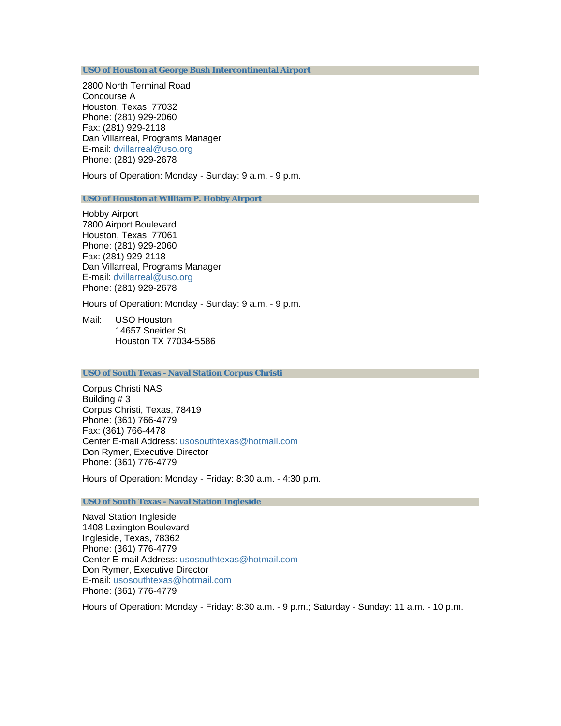**[USO of Houston at George Bush Intercontinental Airport](http://www.usohouston.org/)**

2800 North Terminal Road Concourse A Houston, Texas, 77032 Phone: (281) 929-2060 Fax: (281) 929-2118 Dan Villarreal, Programs Manager E-mail: [dvillarreal@uso.org](mailto:dvillarreal@uso.org) Phone: (281) 929-2678

Hours of Operation: Monday - Sunday: 9 a.m. - 9 p.m.

**[USO of Houston at William P. Hobby Airport](http://www.usohouston.org/)**

Hobby Airport 7800 Airport Boulevard Houston, Texas, 77061 Phone: (281) 929-2060 Fax: (281) 929-2118 Dan Villarreal, Programs Manager E-mail: [dvillarreal@uso.org](mailto:dvillarreal@uso.org) Phone: (281) 929-2678

Hours of Operation: Monday - Sunday: 9 a.m. - 9 p.m.

Mail: USO Houston 14657 Sneider St Houston TX 77034-5586

## **[USO of South Texas - Naval Station Corpus Christi](http://www.usosouthtexas.org/)**

Corpus Christi NAS Building # 3 Corpus Christi, Texas, 78419 Phone: (361) 766-4779 Fax: (361) 766-4478 Center E-mail Address: [usosouthtexas@hotmail.com](mailto:usosouthtexas@hotmail.com) Don Rymer, Executive Director Phone: (361) 776-4779

Hours of Operation: Monday - Friday: 8:30 a.m. - 4:30 p.m.

**[USO of South Texas - Naval Station Ingleside](http://www.usosouthtexas.org/)**

Naval Station Ingleside 1408 Lexington Boulevard Ingleside, Texas, 78362 Phone: (361) 776-4779 Center E-mail Address: [usosouthtexas@hotmail.com](mailto:usosouthtexas@hotmail.com) Don Rymer, Executive Director E-mail: [usosouthtexas@hotmail.com](mailto:usosouthtexas@hotmail.com) Phone: (361) 776-4779

Hours of Operation: Monday - Friday: 8:30 a.m. - 9 p.m.; Saturday - Sunday: 11 a.m. - 10 p.m.